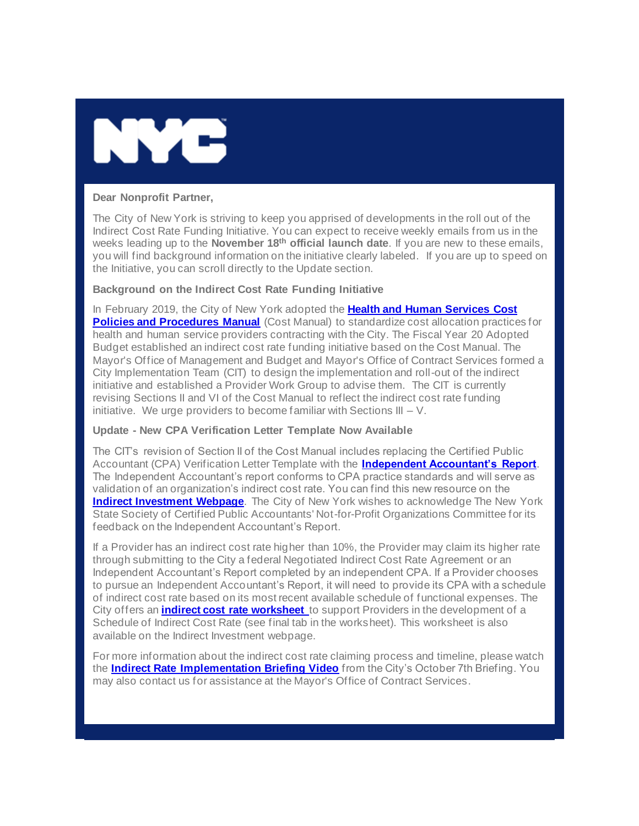

## **Dear Nonprofit Partner,**

The City of New York is striving to keep you apprised of developments in the roll out of the Indirect Cost Rate Funding Initiative. You can expect to receive weekly emails from us in the weeks leading up to the **November 18th official launch date**. If you are new to these emails, you will find background information on the initiative clearly labeled. If you are up to speed on the Initiative, you can scroll directly to the Update section.

## **Background on the Indirect Cost Rate Funding Initiative**

In February 2019, the City of New York adopted the **[Health and Human Services Cost](https://gcc01.safelinks.protection.outlook.com/?url=https%3A%2F%2Fwww1.nyc.gov%2Fassets%2Fnonprofits%2Fdownloads%2Fpdf%2FNYC_HHS_Cost_Policies_and_Procedures_Manual.pdf%3Futm_medium%3Demail%26utm_source%3Dgovdelivery&data=02%7C01%7Coluwa.small%40mocs.nyc.gov%7Cbc976e0baa0f4608ff0408d75bafe247%7C32f56fc75f814e22a95b15da66513bef%7C0%7C0%7C637078683299218000&sdata=zeGc60xl2LTmbGoIrD7i6A01PGmxITaXsIC2EmjcqO8%3D&reserved=0)  [Policies and Procedures Manual](https://gcc01.safelinks.protection.outlook.com/?url=https%3A%2F%2Fwww1.nyc.gov%2Fassets%2Fnonprofits%2Fdownloads%2Fpdf%2FNYC_HHS_Cost_Policies_and_Procedures_Manual.pdf%3Futm_medium%3Demail%26utm_source%3Dgovdelivery&data=02%7C01%7Coluwa.small%40mocs.nyc.gov%7Cbc976e0baa0f4608ff0408d75bafe247%7C32f56fc75f814e22a95b15da66513bef%7C0%7C0%7C637078683299218000&sdata=zeGc60xl2LTmbGoIrD7i6A01PGmxITaXsIC2EmjcqO8%3D&reserved=0)** (Cost Manual) to standardize cost allocation practices for health and human service providers contracting with the City. The Fiscal Year 20 Adopted Budget established an indirect cost rate funding initiative based on the Cost Manual. The Mayor's Office of Management and Budget and Mayor's Office of Contract Services formed a City Implementation Team (CIT) to design the implementation and roll-out of the indirect initiative and established a Provider Work Group to advise them. The CIT is currently revising Sections II and VI of the Cost Manual to reflect the indirect cost rate funding initiative. We urge providers to become familiar with Sections III  $-$  V.

## **Update - New CPA Verification Letter Template Now Available**

The CIT's revision of Section II of the Cost Manual includes replacing the Certified Public Accountant (CPA) Verification Letter Template with the **[Independent Accountant's Report](https://gcc01.safelinks.protection.outlook.com/?url=https%3A%2F%2Fwww1.nyc.gov%2Fassets%2Fnonprofits%2Fdownloads%2Fpdf%2FIndependent%2520Accountants%2520Report.pdf%3Futm_medium%3Demail%26utm_source%3Dgovdelivery&data=02%7C01%7Coluwa.small%40mocs.nyc.gov%7Cbc976e0baa0f4608ff0408d75bafe247%7C32f56fc75f814e22a95b15da66513bef%7C0%7C0%7C637078683299218000&sdata=2orv0%2Bnz5pybDrjDt%2F47pGEGrNyW11iIKLnOJfOARS4%3D&reserved=0)**. The Independent Accountant's report conforms to CPA practice standards and will serve as validation of an organization's indirect cost rate. You can find this new resource on the **[Indirect Investment Webpage](https://gcc01.safelinks.protection.outlook.com/?url=https%3A%2F%2Fwww1.nyc.gov%2Fsite%2Fnonprofits%2Ffunded-providers%2Findirect-implementation.page%3Futm_medium%3Demail%26utm_source%3Dgovdelivery&data=02%7C01%7Coluwa.small%40mocs.nyc.gov%7Cbc976e0baa0f4608ff0408d75bafe247%7C32f56fc75f814e22a95b15da66513bef%7C0%7C0%7C637078683299218000&sdata=Y%2F4ufF2YaUskgxo6T4b5D4ujxaVer8xMpZHn4hLRqcM%3D&reserved=0)**. The City of New York wishes to acknowledge The New York State Society of Certified Public Accountants' Not-for-Profit Organizations Committee for its feedback on the Independent Accountant's Report.

If a Provider has an indirect cost rate higher than 10%, the Provider may claim its higher rate through submitting to the City a federal Negotiated Indirect Cost Rate Agreement or an Independent Accountant's Report completed by an independent CPA. If a Provider chooses to pursue an Independent Accountant's Report, it will need to provide its CPA with a schedule of indirect cost rate based on its most recent available schedule of functional expenses. The City offers an **[indirect cost rate worksheet](https://gcc01.safelinks.protection.outlook.com/?url=https%3A%2F%2Fwww1.nyc.gov%2Fassets%2Fnonprofits%2Fdownloads%2Fpdf%2FIndirect%2520Cost%2520Rate%2520Worksheet_Read_Only.xlsx%3Futm_medium%3Demail%26utm_source%3Dgovdelivery&data=02%7C01%7Coluwa.small%40mocs.nyc.gov%7Cbc976e0baa0f4608ff0408d75bafe247%7C32f56fc75f814e22a95b15da66513bef%7C0%7C0%7C637078683299227996&sdata=OWNEwmIzU%2F5yynCkE0vHMCZ6sg9ac8RzLI1EC%2F0JPaM%3D&reserved=0)** to support Providers in the development of a Schedule of Indirect Cost Rate (see final tab in the worksheet). This worksheet is also available on the Indirect Investment webpage.

For more information about the indirect cost rate claiming process and timeline, please watch the **[Indirect Rate Implementation Briefing Video](https://gcc01.safelinks.protection.outlook.com/?url=https%3A%2F%2Fwww1.nyc.gov%2Fassets%2Fnonprofits%2Fdownloads%2FVideos%2F10.7%2520Convening%2520Deck_nonprofit.webinar480p.mp4%3Futm_medium%3Demail%26utm_source%3Dgovdelivery&data=02%7C01%7Coluwa.small%40mocs.nyc.gov%7Cbc976e0baa0f4608ff0408d75bafe247%7C32f56fc75f814e22a95b15da66513bef%7C0%7C0%7C637078683299227996&sdata=KJZ%2Bez5YiZ%2FbY%2FMHGEbY75fUxK2A6oLffdS8dBkgiQk%3D&reserved=0)** from the City's October 7th Briefing. You may also contact us for assistance at the Mayor's Office of Contract Services.